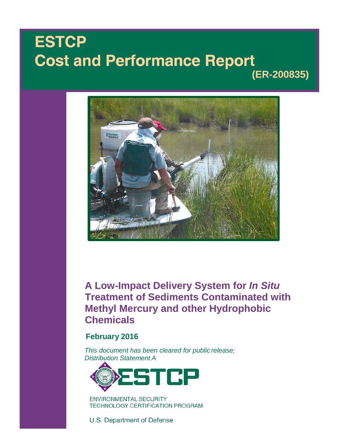# **ESTCP Cost and Performance Report (ER-200835)**



**A Low-Impact Delivery System for** *In Situ* **Treatment of Sediments Contaminated with Methyl Mercury and other Hydrophobic Chemicals**

# **February 2016**

*This document has been cleared for public release; Distribution Statement A*



**ENVIRONMENTAL SECURITY TECHNOLOGY CERTIFICATION PROGRAM** 

U.S. Department of Defense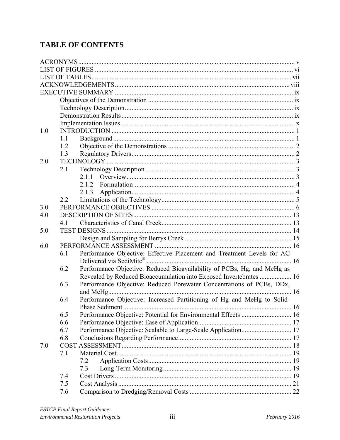# **TABLE OF CONTENTS**

| 1.0 |     |                                                                         |  |
|-----|-----|-------------------------------------------------------------------------|--|
|     | 1.1 |                                                                         |  |
|     | 1.2 |                                                                         |  |
|     | 1.3 |                                                                         |  |
| 2.0 |     |                                                                         |  |
|     | 2.1 |                                                                         |  |
|     |     | 2.1.1                                                                   |  |
|     |     | 2.1.2                                                                   |  |
|     |     | 2.1.3                                                                   |  |
|     | 2.2 |                                                                         |  |
| 3.0 |     |                                                                         |  |
| 4.0 |     |                                                                         |  |
|     | 41  |                                                                         |  |
| 5.0 |     |                                                                         |  |
|     |     |                                                                         |  |
| 6.0 |     |                                                                         |  |
|     | 6.1 | Performance Objective: Effective Placement and Treatment Levels for AC  |  |
|     |     |                                                                         |  |
|     | 6.2 | Performance Objective: Reduced Bioavailability of PCBs, Hg, and MeHg as |  |
|     |     | Revealed by Reduced Bioaccumulation into Exposed Invertebrates  16      |  |
|     | 6.3 | Performance Objective: Reduced Porewater Concentrations of PCBs, DDx,   |  |
|     |     |                                                                         |  |
|     | 6.4 | Performance Objective: Increased Partitioning of Hg and MeHg to Solid-  |  |
|     |     | Phase Sediment.                                                         |  |
|     | 6.5 | Performance Objective: Potential for Environmental Effects  16          |  |
|     | 6.6 |                                                                         |  |
|     | 6.7 | Performance Objective: Scalable to Large-Scale Application 17           |  |
|     | 6.8 |                                                                         |  |
| 7.0 |     |                                                                         |  |
|     | 7.1 |                                                                         |  |
|     |     | 7.2                                                                     |  |
|     |     | 7.3                                                                     |  |
|     | 7.4 |                                                                         |  |
|     | 7.5 |                                                                         |  |
|     | 7.6 |                                                                         |  |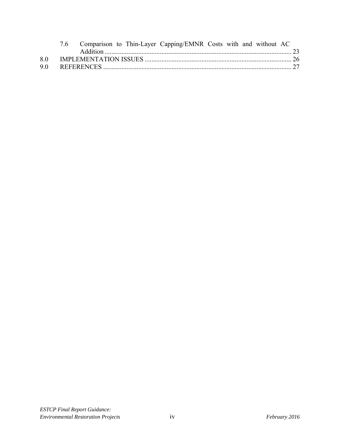|    |  |  | 7.6 Comparison to Thin-Layer Capping/EMNR Costs with and without AC |  |  |  |
|----|--|--|---------------------------------------------------------------------|--|--|--|
|    |  |  |                                                                     |  |  |  |
| 80 |  |  |                                                                     |  |  |  |
| 90 |  |  |                                                                     |  |  |  |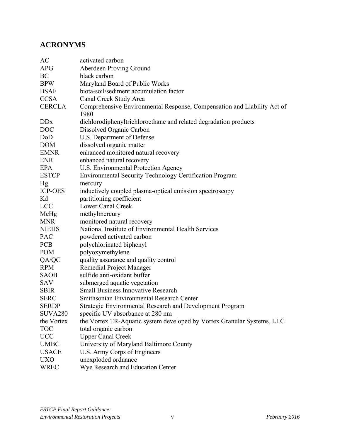# **ACRONYMS**

| AC                     | activated carbon                                                        |
|------------------------|-------------------------------------------------------------------------|
| <b>APG</b>             | Aberdeen Proving Ground                                                 |
| BC                     | black carbon                                                            |
| <b>BPW</b>             | Maryland Board of Public Works                                          |
| <b>BSAF</b>            | biota-soil/sediment accumulation factor                                 |
| <b>CCSA</b>            | Canal Creek Study Area                                                  |
| <b>CERCLA</b>          | Comprehensive Environmental Response, Compensation and Liability Act of |
|                        | 1980                                                                    |
| <b>DD</b> <sub>x</sub> | dichlorodiphenyltrichloroethane and related degradation products        |
| <b>DOC</b>             | Dissolved Organic Carbon                                                |
| DoD                    | U.S. Department of Defense                                              |
| <b>DOM</b>             | dissolved organic matter                                                |
| <b>EMNR</b>            | enhanced monitored natural recovery                                     |
| <b>ENR</b>             | enhanced natural recovery                                               |
| <b>EPA</b>             | U.S. Environmental Protection Agency                                    |
| <b>ESTCP</b>           | <b>Environmental Security Technology Certification Program</b>          |
| Hg                     | mercury                                                                 |
| <b>ICP-OES</b>         | inductively coupled plasma-optical emission spectroscopy                |
| Kd                     | partitioning coefficient                                                |
| <b>LCC</b>             | <b>Lower Canal Creek</b>                                                |
| MeHg                   | methylmercury                                                           |
| <b>MNR</b>             | monitored natural recovery                                              |
| <b>NIEHS</b>           | National Institute of Environmental Health Services                     |
| <b>PAC</b>             | powdered activated carbon                                               |
| <b>PCB</b>             | polychlorinated biphenyl                                                |
| <b>POM</b>             | polyoxymethylene                                                        |
| QA/QC                  | quality assurance and quality control                                   |
| <b>RPM</b>             | Remedial Project Manager                                                |
| <b>SAOB</b>            | sulfide anti-oxidant buffer                                             |
| SAV                    | submerged aquatic vegetation                                            |
| <b>SBIR</b>            | <b>Small Business Innovative Research</b>                               |
| <b>SERC</b>            | Smithsonian Environmental Research Center                               |
| <b>SERDP</b>           | <b>Strategic Environmental Research and Development Program</b>         |
| <b>SUVA280</b>         | specific UV absorbance at 280 nm                                        |
| the Vortex             | the Vortex TR-Aquatic system developed by Vortex Granular Systems, LLC  |
| <b>TOC</b>             | total organic carbon                                                    |
| <b>UCC</b>             | <b>Upper Canal Creek</b>                                                |
| <b>UMBC</b>            | University of Maryland Baltimore County                                 |
| <b>USACE</b>           | U.S. Army Corps of Engineers                                            |
| <b>UXO</b>             | unexploded ordnance                                                     |
| <b>WREC</b>            | Wye Research and Education Center                                       |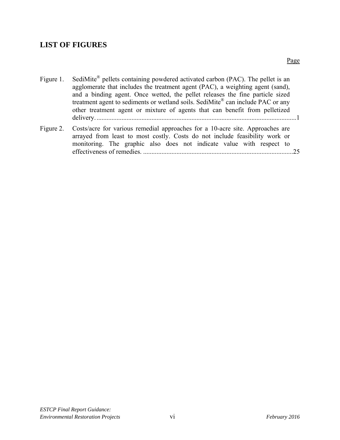# **LIST OF FIGURES**

| Figure 1. | SediMite <sup>®</sup> pellets containing powdered activated carbon (PAC). The pellet is an<br>agglomerate that includes the treatment agent (PAC), a weighting agent (sand),<br>and a binding agent. Once wetted, the pellet releases the fine particle sized<br>treatment agent to sediments or wetland soils. SediMite® can include PAC or any<br>other treatment agent or mixture of agents that can benefit from pelletized |
|-----------|---------------------------------------------------------------------------------------------------------------------------------------------------------------------------------------------------------------------------------------------------------------------------------------------------------------------------------------------------------------------------------------------------------------------------------|
| Figure 2. | Costs/acre for various remedial approaches for a 10-acre site. Approaches are<br>arrayed from least to most costly. Costs do not include feasibility work or<br>monitoring. The graphic also does not indicate value with respect to                                                                                                                                                                                            |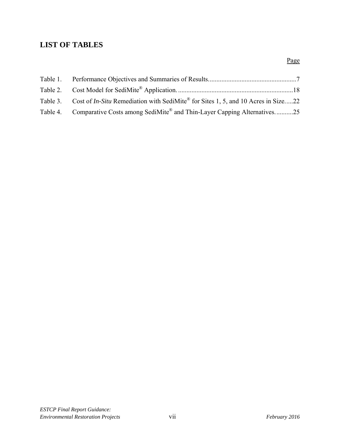# **LIST OF TABLES**

| Table 3. Cost of <i>In-Situ</i> Remediation with SediMite <sup>®</sup> for Sites 1, 5, and 10 Acres in Size22 |  |
|---------------------------------------------------------------------------------------------------------------|--|
| Table 4. Comparative Costs among SediMite® and Thin-Layer Capping Alternatives25                              |  |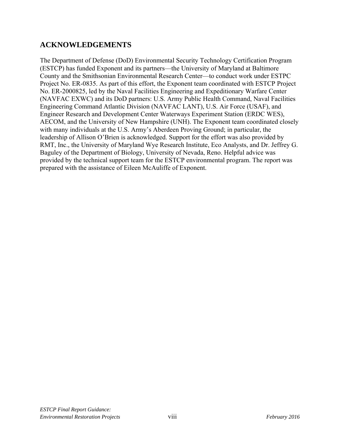# **ACKNOWLEDGEMENTS**

The Department of Defense (DoD) Environmental Security Technology Certification Program (ESTCP) has funded Exponent and its partners—the University of Maryland at Baltimore County and the Smithsonian Environmental Research Center—to conduct work under ESTPC Project No. ER-0835. As part of this effort, the Exponent team coordinated with ESTCP Project No. ER-2000825, led by the Naval Facilities Engineering and Expeditionary Warfare Center (NAVFAC EXWC) and its DoD partners: U.S. Army Public Health Command, Naval Facilities Engineering Command Atlantic Division (NAVFAC LANT), U.S. Air Force (USAF), and Engineer Research and Development Center Waterways Experiment Station (ERDC WES), AECOM, and the University of New Hampshire (UNH). The Exponent team coordinated closely with many individuals at the U.S. Army's Aberdeen Proving Ground; in particular, the leadership of Allison O'Brien is acknowledged. Support for the effort was also provided by RMT, Inc., the University of Maryland Wye Research Institute, Eco Analysts, and Dr. Jeffrey G. Baguley of the Department of Biology, University of Nevada, Reno. Helpful advice was provided by the technical support team for the ESTCP environmental program. The report was prepared with the assistance of Eileen McAuliffe of Exponent.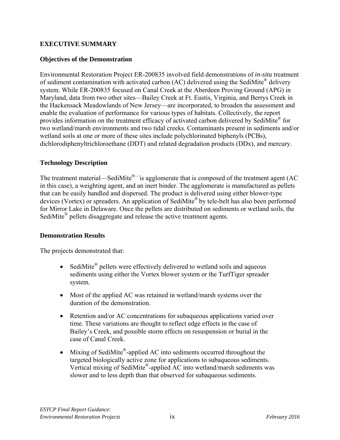#### **EXECUTIVE SUMMARY**

#### **Objectives of the Demonstration**

Environmental Restoration Project ER-200835 involved field demonstrations of *in-situ* treatment of sediment contamination with activated carbon (AC) delivered using the SediMite® delivery system. While ER-200835 focused on Canal Creek at the Aberdeen Proving Ground (APG) in Maryland, data from two other sites—Bailey Creek at Ft. Eustis, Virginia, and Berrys Creek in the Hackensack Meadowlands of New Jersey—are incorporated, to broaden the assessment and enable the evaluation of performance for various types of habitats. Collectively, the report provides information on the treatment efficacy of activated carbon delivered by SediMite® for two wetland/marsh environments and two tidal creeks. Contaminants present in sediments and/or wetland soils at one or more of these sites include polychlorinated biphenyls (PCBs), dichlorodiphenyltrichloroethane (DDT) and related degradation products (DDx), and mercury.

#### **Technology Description**

The treatment material—SediMite<sup>®—</sup>is agglomerate that is composed of the treatment agent (AC in this case), a weighting agent, and an inert binder. The agglomerate is manufactured as pellets that can be easily handled and dispersed. The product is delivered using either blower-type devices (Vortex) or spreaders. An application of SediMite® by tele-belt has also been performed for Mirror Lake in Delaware. Once the pellets are distributed on sediments or wetland soils, the SediMite<sup>®</sup> pellets disaggregate and release the active treatment agents.

#### **Demonstration Results**

The projects demonstrated that:

- SediMite<sup>®</sup> pellets were effectively delivered to wetland soils and aqueous sediments using either the Vortex blower system or the TurfTiger spreader system.
- Most of the applied AC was retained in wetland/marsh systems over the duration of the demonstration.
- Retention and/or AC concentrations for subaqueous applications varied over time. These variations are thought to reflect edge effects in the case of Bailey's Creek, and possible storm effects on resuspension or burial in the case of Canal Creek.
- Mixing of SediMite<sup>®</sup>-applied AC into sediments occurred throughout the targeted biologically active zone for applications to subaqueous sediments. Vertical mixing of SediMite®-applied AC into wetland/marsh sediments was slower and to less depth than that observed for subaqueous sediments.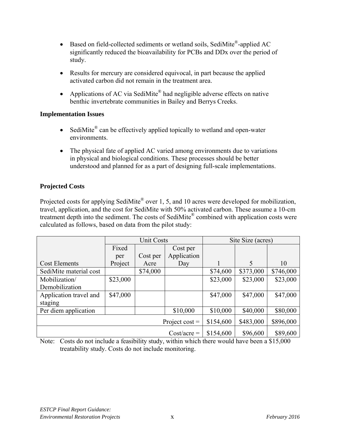- Based on field-collected sediments or wetland soils, SediMite®-applied AC significantly reduced the bioavailability for PCBs and DDx over the period of study.
- Results for mercury are considered equivocal, in part because the applied activated carbon did not remain in the treatment area.
- Applications of AC via SediMite<sup>®</sup> had negligible adverse effects on native benthic invertebrate communities in Bailey and Berrys Creeks.

#### **Implementation Issues**

- SediMite<sup>®</sup> can be effectively applied topically to wetland and open-water environments.
- The physical fate of applied AC varied among environments due to variations in physical and biological conditions. These processes should be better understood and planned for as a part of designing full-scale implementations.

# **Projected Costs**

Projected costs for applying SediMite<sup>®</sup> over 1, 5, and 10 acres were developed for mobilization, travel, application, and the cost for SediMite with 50% activated carbon. These assume a 10-cm treatment depth into the sediment. The costs of SediMite® combined with application costs were calculated as follows, based on data from the pilot study:

|                        |               | <b>Unit Costs</b> |                  |           | Site Size (acres) |           |  |
|------------------------|---------------|-------------------|------------------|-----------|-------------------|-----------|--|
|                        | Fixed         |                   | Cost per         |           |                   |           |  |
|                        | per           | Cost per          | Application      |           |                   |           |  |
| <b>Cost Elements</b>   | Project       | Acre              | Day              |           | 5                 | 10        |  |
| SediMite material cost |               | \$74,000          |                  | \$74,600  | \$373,000         | \$746,000 |  |
| Mobilization/          | \$23,000      |                   |                  | \$23,000  | \$23,000          | \$23,000  |  |
| Demobilization         |               |                   |                  |           |                   |           |  |
| Application travel and | \$47,000      |                   |                  | \$47,000  | \$47,000          | \$47,000  |  |
| staging                |               |                   |                  |           |                   |           |  |
| Per diem application   |               |                   | \$10,000         | \$10,000  | \$40,000          | \$80,000  |  |
|                        |               |                   | Project cost $=$ | \$154,600 | \$483,000         | \$896,000 |  |
|                        | $Cost/acre =$ | \$154,600         | \$96,600         | \$89,600  |                   |           |  |

Note: Costs do not include a feasibility study, within which there would have been a \$15,000 treatability study. Costs do not include monitoring.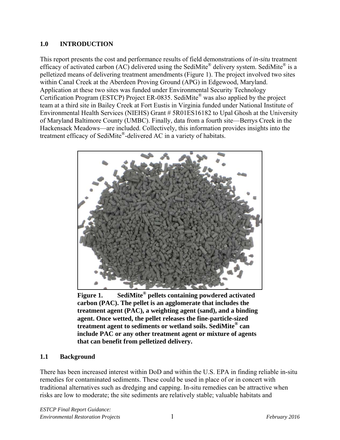#### **1.0 INTRODUCTION**

This report presents the cost and performance results of field demonstrations of *in-situ* treatment efficacy of activated carbon (AC) delivered using the SediMite® delivery system. SediMite® is a pelletized means of delivering treatment amendments (Figure 1). The project involved two sites within Canal Creek at the Aberdeen Proving Ground (APG) in Edgewood, Maryland. Application at these two sites was funded under Environmental Security Technology Certification Program (ESTCP) Project ER-0835. SediMite® was also applied by the project team at a third site in Bailey Creek at Fort Eustis in Virginia funded under National Institute of Environmental Health Services (NIEHS) Grant # 5R01ES16182 to Upal Ghosh at the University of Maryland Baltimore County (UMBC). Finally, data from a fourth site—Berrys Creek in the Hackensack Meadows—are included. Collectively, this information provides insights into the treatment efficacy of SediMite®-delivered AC in a variety of habitats.



**Figure 1. SediMite® pellets containing powdered activated carbon (PAC). The pellet is an agglomerate that includes the treatment agent (PAC), a weighting agent (sand), and a binding agent. Once wetted, the pellet releases the fine-particle-sized treatment agent to sediments or wetland soils. SediMite® can include PAC or any other treatment agent or mixture of agents that can benefit from pelletized delivery.** 

#### **1.1 Background**

There has been increased interest within DoD and within the U.S. EPA in finding reliable in-situ remedies for contaminated sediments. These could be used in place of or in concert with traditional alternatives such as dredging and capping. In-situ remedies can be attractive when risks are low to moderate; the site sediments are relatively stable; valuable habitats and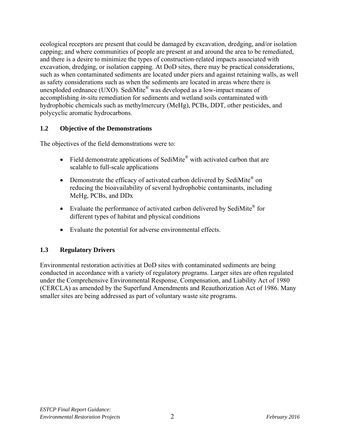ecological receptors are present that could be damaged by excavation, dredging, and/or isolation capping; and where communities of people are present at and around the area to be remediated, and there is a desire to minimize the types of construction-related impacts associated with excavation, dredging, or isolation capping. At DoD sites, there may be practical considerations, such as when contaminated sediments are located under piers and against retaining walls, as well as safety considerations such as when the sediments are located in areas where there is unexploded ordnance (UXO). SediMite® was developed as a low-impact means of accomplishing *in-situ* remediation for sediments and wetland soils contaminated with hydrophobic chemicals such as methylmercury (MeHg), PCBs, DDT, other pesticides, and polycyclic aromatic hydrocarbons.

#### **1.2 Objective of the Demonstrations**

The objectives of the field demonstrations were to:

- Field demonstrate applications of SediMite<sup>®</sup> with activated carbon that are scalable to full-scale applications
- Demonstrate the efficacy of activated carbon delivered by SediMite<sup>®</sup> on reducing the bioavailability of several hydrophobic contaminants, including MeHg, PCBs, and DDx
- Evaluate the performance of activated carbon delivered by SediMite<sup>®</sup> for different types of habitat and physical conditions
- Evaluate the potential for adverse environmental effects.

#### **1.3 Regulatory Drivers**

Environmental restoration activities at DoD sites with contaminated sediments are being conducted in accordance with a variety of regulatory programs. Larger sites are often regulated under the Comprehensive Environmental Response, Compensation, and Liability Act of 1980 (CERCLA) as amended by the Superfund Amendments and Reauthorization Act of 1986. Many smaller sites are being addressed as part of voluntary waste site programs.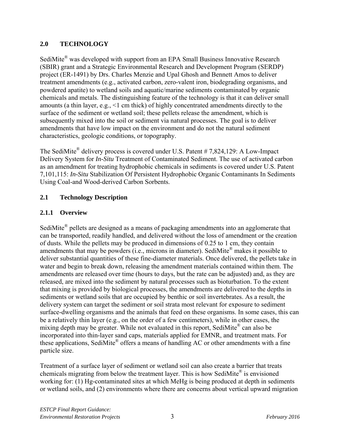# **2.0 TECHNOLOGY**

SediMite<sup>®</sup> was developed with support from an EPA Small Business Innovative Research (SBIR) grant and a Strategic Environmental Research and Development Program (SERDP) project (ER-1491) by Drs. Charles Menzie and Upal Ghosh and Bennett Amos to deliver treatment amendments (e.g., activated carbon, zero-valent iron, biodegrading organisms, and powdered apatite) to wetland soils and aquatic/marine sediments contaminated by organic chemicals and metals. The distinguishing feature of the technology is that it can deliver small amounts (a thin layer, e.g., <1 cm thick) of highly concentrated amendments directly to the surface of the sediment or wetland soil; these pellets release the amendment, which is subsequently mixed into the soil or sediment via natural processes. The goal is to deliver amendments that have low impact on the environment and do not the natural sediment characteristics, geologic conditions, or topography.

The SediMite<sup>®</sup> delivery process is covered under U.S. Patent # 7,824,129: A Low-Impact Delivery System for *In-Situ* Treatment of Contaminated Sediment. The use of activated carbon as an amendment for treating hydrophobic chemicals in sediments is covered under U.S. Patent 7,101,115: *In-Situ* Stabilization Of Persistent Hydrophobic Organic Contaminants In Sediments Using Coal-and Wood-derived Carbon Sorbents.

#### **2.1 Technology Description**

#### **2.1.1 Overview**

SediMite® pellets are designed as a means of packaging amendments into an agglomerate that can be transported, readily handled, and delivered without the loss of amendment or the creation of dusts. While the pellets may be produced in dimensions of 0.25 to 1 cm, they contain amendments that may be powders (i.e., microns in diameter). SediMite® makes it possible to deliver substantial quantities of these fine-diameter materials. Once delivered, the pellets take in water and begin to break down, releasing the amendment materials contained within them. The amendments are released over time (hours to days, but the rate can be adjusted) and, as they are released, are mixed into the sediment by natural processes such as bioturbation. To the extent that mixing is provided by biological processes, the amendments are delivered to the depths in sediments or wetland soils that are occupied by benthic or soil invertebrates. As a result, the delivery system can target the sediment or soil strata most relevant for exposure to sediment surface-dwelling organisms and the animals that feed on these organisms. In some cases, this can be a relatively thin layer (e.g., on the order of a few centimeters), while in other cases, the mixing depth may be greater. While not evaluated in this report, SediMite® can also be incorporated into thin-layer sand caps, materials applied for EMNR, and treatment mats. For these applications, SediMite® offers a means of handling AC or other amendments with a fine particle size.

Treatment of a surface layer of sediment or wetland soil can also create a barrier that treats chemicals migrating from below the treatment layer. This is how SediMite® is envisioned working for: (1) Hg-contaminated sites at which MeHg is being produced at depth in sediments or wetland soils, and (2) environments where there are concerns about vertical upward migration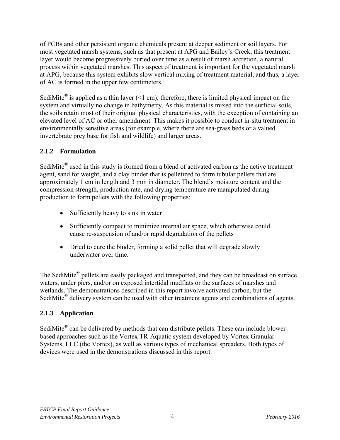of PCBs and other persistent organic chemicals present at deeper sediment or soil layers. For most vegetated marsh systems, such as that present at APG and Bailey's Creek, this treatment layer would become progressively buried over time as a result of marsh accretion, a natural process within vegetated marshes. This aspect of treatment is important for the vegetated marsh at APG, because this system exhibits slow vertical mixing of treatment material, and thus, a layer of AC is formed in the upper few centimeters.

SediMite<sup>®</sup> is applied as a thin layer  $($  < 1 cm); therefore, there is limited physical impact on the system and virtually no change in bathymetry. As this material is mixed into the surficial soils, the soils retain most of their original physical characteristics, with the exception of containing an elevated level of AC or other amendment. This makes it possible to conduct in-situ treatment in environmentally sensitive areas (for example, where there are sea-grass beds or a valued invertebrate prey base for fish and wildlife) and larger areas.

# **2.1.2 Formulation**

SediMite<sup>®</sup> used in this study is formed from a blend of activated carbon as the active treatment agent, sand for weight, and a clay binder that is pelletized to form tubular pellets that are approximately 1 cm in length and 3 mm in diameter. The blend's moisture content and the compression strength, production rate, and drying temperature are manipulated during production to form pellets with the following properties:

- Sufficiently heavy to sink in water
- Sufficiently compact to minimize internal air space, which otherwise could cause re-suspension of and/or rapid degradation of the pellets
- Dried to cure the binder, forming a solid pellet that will degrade slowly underwater over time.

The SediMite<sup>®</sup> pellets are easily packaged and transported, and they can be broadcast on surface waters, under piers, and/or on exposed intertidal mudflats or the surfaces of marshes and wetlands. The demonstrations described in this report involve activated carbon, but the SediMite<sup>®</sup> delivery system can be used with other treatment agents and combinations of agents.

#### **2.1.3 Application**

SediMite<sup>®</sup> can be delivered by methods that can distribute pellets. These can include blowerbased approaches such as the Vortex TR-Aquatic system developed by Vortex Granular Systems, LLC (the Vortex), as well as various types of mechanical spreaders. Both types of devices were used in the demonstrations discussed in this report.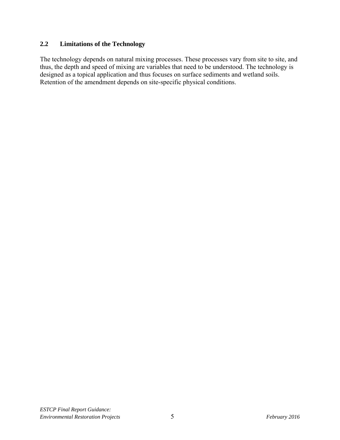## **2.2 Limitations of the Technology**

The technology depends on natural mixing processes. These processes vary from site to site, and thus, the depth and speed of mixing are variables that need to be understood. The technology is designed as a topical application and thus focuses on surface sediments and wetland soils. Retention of the amendment depends on site-specific physical conditions.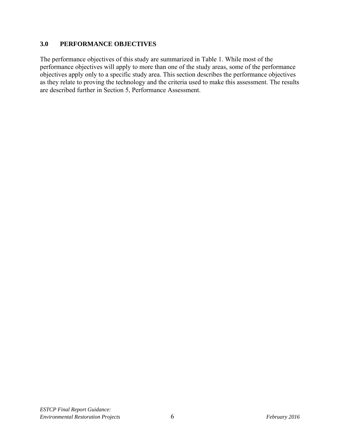#### **3.0 PERFORMANCE OBJECTIVES**

The performance objectives of this study are summarized in Table 1. While most of the performance objectives will apply to more than one of the study areas, some of the performance objectives apply only to a specific study area. This section describes the performance objectives as they relate to proving the technology and the criteria used to make this assessment. The results are described further in Section 5, Performance Assessment.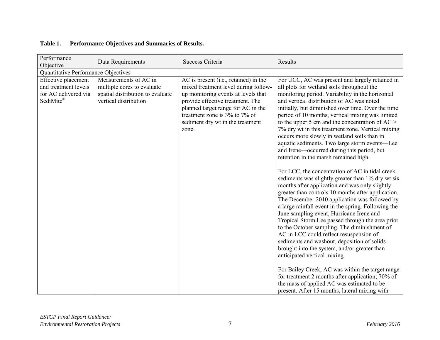| Performance<br>Objective                                                         | Data Requirements                                                                                                | Success Criteria                                                                                                                                                                                                                                                             | Results                                                                                                                                                                                                                                                                                                                                                                                                                                                                                                                                                                                                                                                                                                                                                                                                                                               |  |  |  |  |  |
|----------------------------------------------------------------------------------|------------------------------------------------------------------------------------------------------------------|------------------------------------------------------------------------------------------------------------------------------------------------------------------------------------------------------------------------------------------------------------------------------|-------------------------------------------------------------------------------------------------------------------------------------------------------------------------------------------------------------------------------------------------------------------------------------------------------------------------------------------------------------------------------------------------------------------------------------------------------------------------------------------------------------------------------------------------------------------------------------------------------------------------------------------------------------------------------------------------------------------------------------------------------------------------------------------------------------------------------------------------------|--|--|--|--|--|
| Quantitative Performance Objectives                                              |                                                                                                                  |                                                                                                                                                                                                                                                                              |                                                                                                                                                                                                                                                                                                                                                                                                                                                                                                                                                                                                                                                                                                                                                                                                                                                       |  |  |  |  |  |
| Effective placement<br>and treatment levels<br>for AC delivered via<br>SediMite® | Measurements of AC in<br>multiple cores to evaluate<br>spatial distribution to evaluate<br>vertical distribution | AC is present (i.e., retained) in the<br>mixed treatment level during follow-<br>up monitoring events at levels that<br>provide effective treatment. The<br>planned target range for AC in the<br>treatment zone is 3% to 7% of<br>sediment dry wt in the treatment<br>zone. | For UCC, AC was present and largely retained in<br>all plots for wetland soils throughout the<br>monitoring period. Variability in the horizontal<br>and vertical distribution of AC was noted<br>initially, but diminished over time. Over the time<br>period of 10 months, vertical mixing was limited<br>to the upper 5 cm and the concentration of $AC$ ><br>7% dry wt in this treatment zone. Vertical mixing<br>occurs more slowly in wetland soils than in<br>aquatic sediments. Two large storm events—Lee<br>and Irene—occurred during this period, but<br>retention in the marsh remained high.                                                                                                                                                                                                                                             |  |  |  |  |  |
|                                                                                  |                                                                                                                  |                                                                                                                                                                                                                                                                              | For LCC, the concentration of AC in tidal creek<br>sediments was slightly greater than 1% dry wt six<br>months after application and was only slightly<br>greater than controls 10 months after application.<br>The December 2010 application was followed by<br>a large rainfall event in the spring. Following the<br>June sampling event, Hurricane Irene and<br>Tropical Storm Lee passed through the area prior<br>to the October sampling. The diminishment of<br>AC in LCC could reflect resuspension of<br>sediments and washout, deposition of solids<br>brought into the system, and/or greater than<br>anticipated vertical mixing.<br>For Bailey Creek, AC was within the target range<br>for treatment 2 months after application; 70% of<br>the mass of applied AC was estimated to be<br>present. After 15 months, lateral mixing with |  |  |  |  |  |

#### **Table 1. Performance Objectives and Summaries of Results.**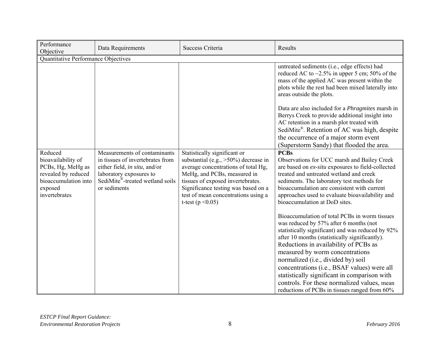| Performance<br>Objective                                                                                                      | Data Requirements                                                                                                                                                               | Success Criteria                                                                                                                                                                                                                                                                           | Results                                                                                                                                                                                                                                                                                                                                                                                                                                                                                                         |  |  |  |  |  |
|-------------------------------------------------------------------------------------------------------------------------------|---------------------------------------------------------------------------------------------------------------------------------------------------------------------------------|--------------------------------------------------------------------------------------------------------------------------------------------------------------------------------------------------------------------------------------------------------------------------------------------|-----------------------------------------------------------------------------------------------------------------------------------------------------------------------------------------------------------------------------------------------------------------------------------------------------------------------------------------------------------------------------------------------------------------------------------------------------------------------------------------------------------------|--|--|--|--|--|
|                                                                                                                               | Quantitative Performance Objectives                                                                                                                                             |                                                                                                                                                                                                                                                                                            |                                                                                                                                                                                                                                                                                                                                                                                                                                                                                                                 |  |  |  |  |  |
|                                                                                                                               |                                                                                                                                                                                 |                                                                                                                                                                                                                                                                                            | untreated sediments (i.e., edge effects) had<br>reduced AC to $\sim$ 2.5% in upper 5 cm; 50% of the<br>mass of the applied AC was present within the<br>plots while the rest had been mixed laterally into<br>areas outside the plots.<br>Data are also included for a <i>Phragmites</i> marsh in<br>Berrys Creek to provide additional insight into<br>AC retention in a marsh plot treated with<br>SediMite®. Retention of AC was high, despite<br>the occurrence of a major storm event                      |  |  |  |  |  |
|                                                                                                                               |                                                                                                                                                                                 |                                                                                                                                                                                                                                                                                            | (Superstorm Sandy) that flooded the area.                                                                                                                                                                                                                                                                                                                                                                                                                                                                       |  |  |  |  |  |
| Reduced<br>bioavailability of<br>PCBs, Hg, MeHg as<br>revealed by reduced<br>bioaccumulation into<br>exposed<br>invertebrates | Measurements of contaminants<br>in tissues of invertebrates from<br>either field, in situ, and/or<br>laboratory exposures to<br>SediMite®-treated wetland soils<br>or sediments | Statistically significant or<br>substantial (e.g., $>50\%$ ) decrease in<br>average concentrations of total Hg,<br>MeHg, and PCBs, measured in<br>tissues of exposed invertebrates.<br>Significance testing was based on a<br>test of mean concentrations using a<br>t-test ( $p < 0.05$ ) | <b>PCBs</b><br>Observations for UCC marsh and Bailey Creek<br>are based on ex-situ exposures to field-collected<br>treated and untreated wetland and creek<br>sediments. The laboratory test methods for<br>bioaccumulation are consistent with current<br>approaches used to evaluate bioavailability and<br>bioaccumulation at DoD sites.                                                                                                                                                                     |  |  |  |  |  |
|                                                                                                                               |                                                                                                                                                                                 |                                                                                                                                                                                                                                                                                            | Bioaccumulation of total PCBs in worm tissues<br>was reduced by 57% after 6 months (not<br>statistically significant) and was reduced by 92%<br>after 10 months (statistically significantly).<br>Reductions in availability of PCBs as<br>measured by worm concentrations<br>normalized (i.e., divided by) soil<br>concentrations (i.e., BSAF values) were all<br>statistically significant in comparison with<br>controls. For these normalized values, mean<br>reductions of PCBs in tissues ranged from 60% |  |  |  |  |  |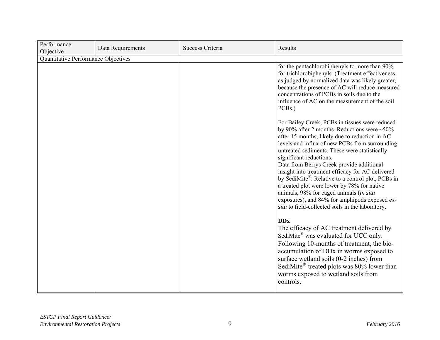| Performance<br>Objective | Data Requirements                   | Success Criteria | Results                                                                                                                                                                                                                                                                                                                                                                                                                                                                                                                                                                                                                                                |  |  |  |  |
|--------------------------|-------------------------------------|------------------|--------------------------------------------------------------------------------------------------------------------------------------------------------------------------------------------------------------------------------------------------------------------------------------------------------------------------------------------------------------------------------------------------------------------------------------------------------------------------------------------------------------------------------------------------------------------------------------------------------------------------------------------------------|--|--|--|--|
|                          | Quantitative Performance Objectives |                  |                                                                                                                                                                                                                                                                                                                                                                                                                                                                                                                                                                                                                                                        |  |  |  |  |
|                          |                                     |                  | for the pentachlorobiphenyls to more than 90%<br>for trichlorobiphenyls. (Treatment effectiveness<br>as judged by normalized data was likely greater,<br>because the presence of AC will reduce measured<br>concentrations of PCBs in soils due to the<br>influence of AC on the measurement of the soil<br>PCB <sub>s.</sub> )                                                                                                                                                                                                                                                                                                                        |  |  |  |  |
|                          |                                     |                  | For Bailey Creek, PCBs in tissues were reduced<br>by 90% after 2 months. Reductions were $\sim$ 50%<br>after 15 months, likely due to reduction in AC<br>levels and influx of new PCBs from surrounding<br>untreated sediments. These were statistically-<br>significant reductions.<br>Data from Berrys Creek provide additional<br>insight into treatment efficacy for AC delivered<br>by SediMite <sup>®</sup> . Relative to a control plot, PCBs in<br>a treated plot were lower by 78% for native<br>animals, 98% for caged animals (in situ<br>exposures), and 84% for amphipods exposed ex-<br>situ to field-collected soils in the laboratory. |  |  |  |  |
|                          |                                     |                  | <b>DDx</b><br>The efficacy of AC treatment delivered by<br>SediMite <sup>®</sup> was evaluated for UCC only.<br>Following 10-months of treatment, the bio-<br>accumulation of DD <sub>x</sub> in worms exposed to<br>surface wetland soils (0-2 inches) from<br>SediMite <sup>®</sup> -treated plots was 80% lower than<br>worms exposed to wetland soils from<br>controls.                                                                                                                                                                                                                                                                            |  |  |  |  |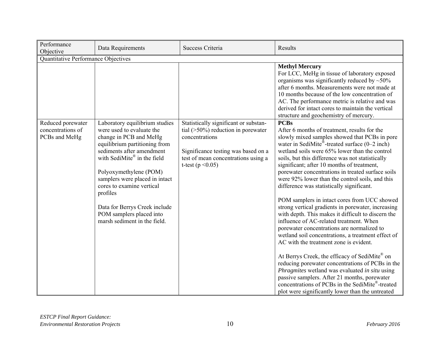| Performance<br>Objective                                | Data Requirements                                                                                                                                                                                                                                                                                                                                                                    | Success Criteria                                                                                                                                                                                        | Results                                                                                                                                                                                                                                                                                                                                                                                                                                                                                                                                                                                                                                                                                                                                                                                                                                                                                                                                                                                                                                                                                                                                                 |
|---------------------------------------------------------|--------------------------------------------------------------------------------------------------------------------------------------------------------------------------------------------------------------------------------------------------------------------------------------------------------------------------------------------------------------------------------------|---------------------------------------------------------------------------------------------------------------------------------------------------------------------------------------------------------|---------------------------------------------------------------------------------------------------------------------------------------------------------------------------------------------------------------------------------------------------------------------------------------------------------------------------------------------------------------------------------------------------------------------------------------------------------------------------------------------------------------------------------------------------------------------------------------------------------------------------------------------------------------------------------------------------------------------------------------------------------------------------------------------------------------------------------------------------------------------------------------------------------------------------------------------------------------------------------------------------------------------------------------------------------------------------------------------------------------------------------------------------------|
| Quantitative Performance Objectives                     |                                                                                                                                                                                                                                                                                                                                                                                      |                                                                                                                                                                                                         |                                                                                                                                                                                                                                                                                                                                                                                                                                                                                                                                                                                                                                                                                                                                                                                                                                                                                                                                                                                                                                                                                                                                                         |
|                                                         |                                                                                                                                                                                                                                                                                                                                                                                      |                                                                                                                                                                                                         | <b>Methyl Mercury</b><br>For LCC, MeHg in tissue of laboratory exposed<br>organisms was significantly reduced by $\sim 50\%$<br>after 6 months. Measurements were not made at<br>10 months because of the low concentration of<br>AC. The performance metric is relative and was<br>derived for intact cores to maintain the vertical<br>structure and geochemistry of mercury.                                                                                                                                                                                                                                                                                                                                                                                                                                                                                                                                                                                                                                                                                                                                                                         |
| Reduced porewater<br>concentrations of<br>PCBs and MeHg | Laboratory equilibrium studies<br>were used to evaluate the<br>change in PCB and MeHg<br>equilibrium partitioning from<br>sediments after amendment<br>with SediMite® in the field<br>Polyoxymethylene (POM)<br>samplers were placed in intact<br>cores to examine vertical<br>profiles<br>Data for Berrys Creek include<br>POM samplers placed into<br>marsh sediment in the field. | Statistically significant or substan-<br>tial $($ >50%) reduction in porewater<br>concentrations<br>Significance testing was based on a<br>test of mean concentrations using a<br>t-test ( $p < 0.05$ ) | <b>PCBs</b><br>After 6 months of treatment, results for the<br>slowly mixed samples showed that PCBs in pore<br>water in SediMite <sup>®</sup> -treated surface $(0-2$ inch)<br>wetland soils were 65% lower than the control<br>soils, but this difference was not statistically<br>significant; after 10 months of treatment,<br>porewater concentrations in treated surface soils<br>were 92% lower than the control soils, and this<br>difference was statistically significant.<br>POM samplers in intact cores from UCC showed<br>strong vertical gradients in porewater, increasing<br>with depth. This makes it difficult to discern the<br>influence of AC-related treatment. When<br>porewater concentrations are normalized to<br>wetland soil concentrations, a treatment effect of<br>AC with the treatment zone is evident.<br>At Berrys Creek, the efficacy of SediMite® on<br>reducing porewater concentrations of PCBs in the<br>Phragmites wetland was evaluated in situ using<br>passive samplers. After 21 months, porewater<br>concentrations of PCBs in the SediMite®-treated<br>plot were significantly lower than the untreated |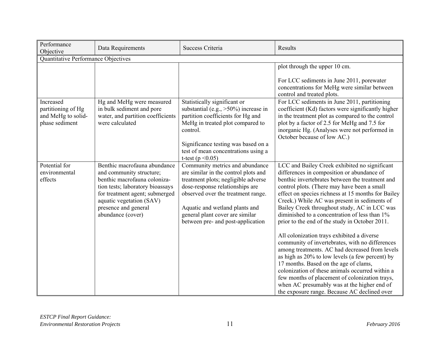| Performance<br>Objective                                                | Data Requirements                                                                                                                                                                                                                       | Success Criteria                                                                                                                                                                                                                                                                                  | Results                                                                                                                                                                                                                                                                                                                                                                                                                                                                                                                                                                                                                                                                                                                                                                                                                                                                                                   |
|-------------------------------------------------------------------------|-----------------------------------------------------------------------------------------------------------------------------------------------------------------------------------------------------------------------------------------|---------------------------------------------------------------------------------------------------------------------------------------------------------------------------------------------------------------------------------------------------------------------------------------------------|-----------------------------------------------------------------------------------------------------------------------------------------------------------------------------------------------------------------------------------------------------------------------------------------------------------------------------------------------------------------------------------------------------------------------------------------------------------------------------------------------------------------------------------------------------------------------------------------------------------------------------------------------------------------------------------------------------------------------------------------------------------------------------------------------------------------------------------------------------------------------------------------------------------|
| Quantitative Performance Objectives                                     |                                                                                                                                                                                                                                         |                                                                                                                                                                                                                                                                                                   |                                                                                                                                                                                                                                                                                                                                                                                                                                                                                                                                                                                                                                                                                                                                                                                                                                                                                                           |
|                                                                         |                                                                                                                                                                                                                                         |                                                                                                                                                                                                                                                                                                   | plot through the upper 10 cm.<br>For LCC sediments in June 2011, porewater<br>concentrations for MeHg were similar between<br>control and treated plots.                                                                                                                                                                                                                                                                                                                                                                                                                                                                                                                                                                                                                                                                                                                                                  |
| Increased<br>partitioning of Hg<br>and MeHg to solid-<br>phase sediment | Hg and MeHg were measured<br>in bulk sediment and pore<br>water, and partition coefficients<br>were calculated                                                                                                                          | Statistically significant or<br>substantial (e.g., $>50\%$ ) increase in<br>partition coefficients for Hg and<br>MeHg in treated plot compared to<br>control.<br>Significance testing was based on a<br>test of mean concentrations using a<br>t-test ( $p < 0.05$ )                              | For LCC sediments in June 2011, partitioning<br>coefficient (Kd) factors were significantly higher<br>in the treatment plot as compared to the control<br>plot by a factor of 2.5 for MeHg and 7.5 for<br>inorganic Hg. (Analyses were not performed in<br>October because of low AC.)                                                                                                                                                                                                                                                                                                                                                                                                                                                                                                                                                                                                                    |
| Potential for<br>environmental<br>effects                               | Benthic macrofauna abundance<br>and community structure;<br>benthic macrofauna coloniza-<br>tion tests; laboratory bioassays<br>for treatment agent; submerged<br>aquatic vegetation (SAV)<br>presence and general<br>abundance (cover) | Community metrics and abundance<br>are similar in the control plots and<br>treatment plots; negligible adverse<br>dose-response relationships are<br>observed over the treatment range.<br>Aquatic and wetland plants and<br>general plant cover are similar<br>between pre- and post-application | LCC and Bailey Creek exhibited no significant<br>differences in composition or abundance of<br>benthic invertebrates between the treatment and<br>control plots. (There may have been a small<br>effect on species richness at 15 months for Bailey<br>Creek.) While AC was present in sediments of<br>Bailey Creek throughout study, AC in LCC was<br>diminished to a concentration of less than 1%<br>prior to the end of the study in October 2011.<br>All colonization trays exhibited a diverse<br>community of invertebrates, with no differences<br>among treatments. AC had decreased from levels<br>as high as 20% to low levels (a few percent) by<br>17 months. Based on the age of clams,<br>colonization of these animals occurred within a<br>few months of placement of colonization trays,<br>when AC presumably was at the higher end of<br>the exposure range. Because AC declined over |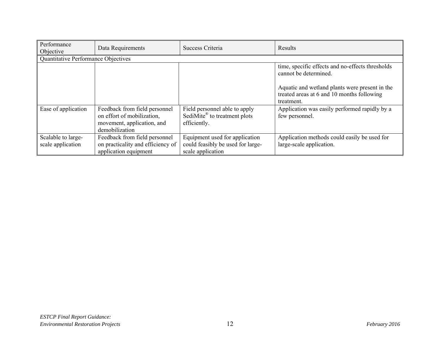| Performance<br>Objective                | Data Requirements                                                                                           | Success Criteria                                                                          | Results                                                                                                                     |  |  |
|-----------------------------------------|-------------------------------------------------------------------------------------------------------------|-------------------------------------------------------------------------------------------|-----------------------------------------------------------------------------------------------------------------------------|--|--|
| Quantitative Performance Objectives     |                                                                                                             |                                                                                           |                                                                                                                             |  |  |
|                                         |                                                                                                             |                                                                                           | time, specific effects and no-effects thresholds<br>cannot be determined.<br>Aquatic and wetland plants were present in the |  |  |
|                                         |                                                                                                             |                                                                                           | treated areas at 6 and 10 months following<br>treatment.                                                                    |  |  |
| Ease of application                     | Feedback from field personnel<br>on effort of mobilization,<br>movement, application, and<br>demobilization | Field personnel able to apply<br>SediMite <sup>®</sup> to treatment plots<br>efficiently. | Application was easily performed rapidly by a<br>few personnel.                                                             |  |  |
| Scalable to large-<br>scale application | Feedback from field personnel<br>on practicality and efficiency of<br>application equipment                 | Equipment used for application<br>could feasibly be used for large-<br>scale application  | Application methods could easily be used for<br>large-scale application.                                                    |  |  |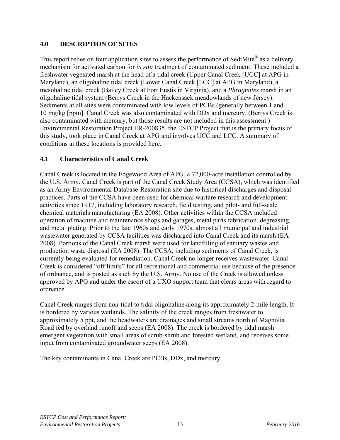#### **4.0 DESCRIPTION OF SITES**

This report relies on four application sites to assess the performance of SediMite<sup>®</sup> as a delivery mechanism for activated carbon for *in situ* treatment of contaminated sediment. These included a freshwater vegetated marsh at the head of a tidal creek (Upper Canal Creek [UCC] at APG in Maryland), an oligohaline tidal creek (Lower Canal Creek [LCC] at APG in Maryland), a mesohaline tidal creek (Bailey Creek at Fort Eustis in Virginia), and a *Phragmites* marsh in an oligohaline tidal system (Berrys Creek in the Hackensack meadowlands of new Jersey). Sediments at all sites were contaminated with low levels of PCBs (generally between 1 and 10 mg/kg [ppm]. Canal Creek was also contaminated with DDx and mercury. (Berrys Creek is also contaminated with mercury, but those results are not included in this assessment.) Environmental Restoration Project ER-200835, the ESTCP Project that is the primary focus of this study, took place in Canal Creek at APG and involves UCC and LCC. A summary of conditions at these locations is provided here.

#### **4.1 Characteristics of Canal Creek**

Canal Creek is located in the Edgewood Area of APG, a 72,000-acre installation controlled by the U.S. Army. Canal Creek is part of the Canal Creek Study Area (CCSA), which was identified as an Army Environmental Database-Restoration site due to historical discharges and disposal practices. Parts of the CCSA have been used for chemical warfare research and development activities since 1917, including laboratory research, field testing, and pilot- and full-scale chemical materials manufacturing (EA 2008). Other activities within the CCSA included operation of machine and maintenance shops and garages, metal parts fabrication, degreasing, and metal plating. Prior to the late 1960s and early 1970s, almost all municipal and industrial wastewater generated by CCSA facilities was discharged into Canal Creek and its marsh (EA 2008). Portions of the Canal Creek marsh were used for landfilling of sanitary wastes and production waste disposal (EA 2008). The CCSA, including sediments of Canal Creek, is currently being evaluated for remediation. Canal Creek no longer receives wastewater. Canal Creek is considered "off limits" for all recreational and commercial use because of the presence of ordnance, and is posted as such by the U.S. Army. No use of the Creek is allowed unless approved by APG and under the escort of a UXO support team that clears areas with regard to ordnance.

Canal Creek ranges from non-tidal to tidal oligohaline along its approximately 2-mile length. It is bordered by various wetlands. The salinity of the creek ranges from freshwater to approximately 5 ppt, and the headwaters are drainages and small streams north of Magnolia Road fed by overland runoff and seeps (EA 2008). The creek is bordered by tidal marsh emergent vegetation with small areas of scrub-shrub and forested wetland, and receives some input from contaminated groundwater seeps (EA 2008).

The key contaminants in Canal Creek are PCBs, DDx, and mercury.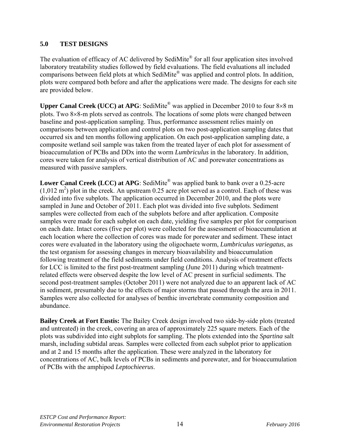# **5.0 TEST DESIGNS**

The evaluation of efficacy of AC delivered by SediMite<sup>®</sup> for all four application sites involved laboratory treatability studies followed by field evaluations. The field evaluations all included comparisons between field plots at which SediMite® was applied and control plots. In addition, plots were compared both before and after the applications were made. The designs for each site are provided below.

**Upper Canal Creek (UCC) at APG**: SediMite<sup>®</sup> was applied in December 2010 to four  $8\times8$  m plots. Two  $8\times8$ -m plots served as controls. The locations of some plots were changed between baseline and post-application sampling. Thus, performance assessment relies mainly on comparisons between application and control plots on two post-application sampling dates that occurred six and ten months following application. On each post-application sampling date, a composite wetland soil sample was taken from the treated layer of each plot for assessment of bioaccumulation of PCBs and DDx into the worm *Lumbriculus* in the laboratory. In addition, cores were taken for analysis of vertical distribution of AC and porewater concentrations as measured with passive samplers.

Lower Canal Creek (LCC) at APG: SediMite<sup>®</sup> was applied bank to bank over a 0.25-acre  $(1,012 \text{ m}^2)$  plot in the creek. An upstream 0.25 acre plot served as a control. Each of these was divided into five subplots. The application occurred in December 2010, and the plots were sampled in June and October of 2011. Each plot was divided into five subplots. Sediment samples were collected from each of the subplots before and after application. Composite samples were made for each subplot on each date, yielding five samples per plot for comparison on each date. Intact cores (five per plot) were collected for the assessment of bioaccumulation at each location where the collection of cores was made for porewater and sediment. These intact cores were evaluated in the laboratory using the oligochaete worm, *Lumbriculus variegatus*, as the test organism for assessing changes in mercury bioavailability and bioaccumulation following treatment of the field sediments under field conditions. Analysis of treatment effects for LCC is limited to the first post-treatment sampling (June 2011) during which treatmentrelated effects were observed despite the low level of AC present in surficial sediments. The second post-treatment samples (October 2011) were not analyzed due to an apparent lack of AC in sediment, presumably due to the effects of major storms that passed through the area in 2011. Samples were also collected for analyses of benthic invertebrate community composition and abundance.

**Bailey Creek at Fort Eustis:** The Bailey Creek design involved two side-by-side plots (treated and untreated) in the creek, covering an area of approximately 225 square meters. Each of the plots was subdivided into eight subplots for sampling. The plots extended into the *Spartina* salt marsh, including subtidal areas. Samples were collected from each subplot prior to application and at 2 and 15 months after the application. These were analyzed in the laboratory for concentrations of AC, bulk levels of PCBs in sediments and porewater, and for bioaccumulation of PCBs with the amphipod *Leptochieerus*.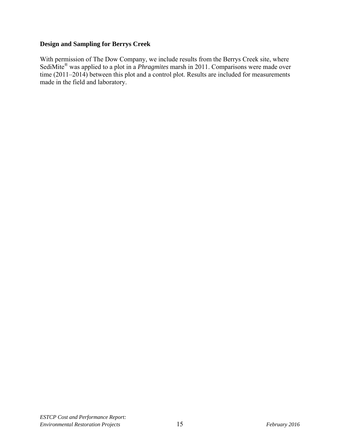#### **Design and Sampling for Berrys Creek**

With permission of The Dow Company, we include results from the Berrys Creek site, where SediMite® was applied to a plot in a *Phragmites* marsh in 2011. Comparisons were made over time (2011–2014) between this plot and a control plot. Results are included for measurements made in the field and laboratory.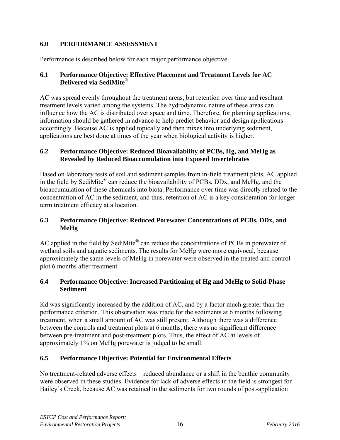## **6.0 PERFORMANCE ASSESSMENT**

Performance is described below for each major performance objective.

#### **6.1 Performance Objective: Effective Placement and Treatment Levels for AC Delivered via SediMite®**

AC was spread evenly throughout the treatment areas, but retention over time and resultant treatment levels varied among the systems. The hydrodynamic nature of these areas can influence how the AC is distributed over space and time. Therefore, for planning applications, information should be gathered in advance to help predict behavior and design applications accordingly. Because AC is applied topically and then mixes into underlying sediment, applications are best done at times of the year when biological activity is higher.

## **6.2 Performance Objective: Reduced Bioavailability of PCBs, Hg, and MeHg as Revealed by Reduced Bioaccumulation into Exposed Invertebrates**

Based on laboratory tests of soil and sediment samples from in-field treatment plots, AC applied in the field by SediMite® can reduce the bioavailability of PCBs, DDx, and MeHg, and the bioaccumulation of these chemicals into biota. Performance over time was directly related to the concentration of AC in the sediment, and thus, retention of AC is a key consideration for longerterm treatment efficacy at a location.

#### **6.3 Performance Objective: Reduced Porewater Concentrations of PCBs, DDx, and MeHg**

AC applied in the field by SediMite® can reduce the concentrations of PCBs in porewater of wetland soils and aquatic sediments. The results for MeHg were more equivocal, because approximately the same levels of MeHg in porewater were observed in the treated and control plot 6 months after treatment.

#### **6.4 Performance Objective: Increased Partitioning of Hg and MeHg to Solid-Phase Sediment**

Kd was significantly increased by the addition of AC, and by a factor much greater than the performance criterion. This observation was made for the sediments at 6 months following treatment, when a small amount of AC was still present. Although there was a difference between the controls and treatment plots at 6 months, there was no significant difference between pre-treatment and post-treatment plots. Thus, the effect of AC at levels of approximately 1% on MeHg porewater is judged to be small.

# **6.5 Performance Objective: Potential for Environmental Effects**

No treatment-related adverse effects—reduced abundance or a shift in the benthic community were observed in these studies. Evidence for lack of adverse effects in the field is strongest for Bailey's Creek, because AC was retained in the sediments for two rounds of post-application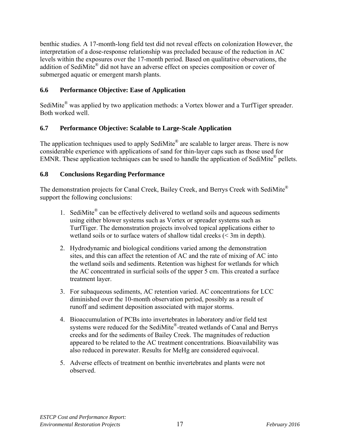benthic studies. A 17-month-long field test did not reveal effects on colonization However, the interpretation of a dose-response relationship was precluded because of the reduction in AC levels within the exposures over the 17-month period. Based on qualitative observations, the addition of SediMite<sup>®</sup> did not have an adverse effect on species composition or cover of submerged aquatic or emergent marsh plants.

#### **6.6 Performance Objective: Ease of Application**

SediMite<sup>®</sup> was applied by two application methods: a Vortex blower and a TurfTiger spreader. Both worked well.

#### **6.7 Performance Objective: Scalable to Large-Scale Application**

The application techniques used to apply SediMite<sup>®</sup> are scalable to larger areas. There is now considerable experience with applications of sand for thin-layer caps such as those used for EMNR. These application techniques can be used to handle the application of SediMite<sup>®</sup> pellets.

#### **6.8 Conclusions Regarding Performance**

The demonstration projects for Canal Creek, Bailey Creek, and Berrys Creek with SediMite<sup>®</sup> support the following conclusions:

- 1. SediMite<sup>®</sup> can be effectively delivered to wetland soils and aqueous sediments using either blower systems such as Vortex or spreader systems such as TurfTiger. The demonstration projects involved topical applications either to wetland soils or to surface waters of shallow tidal creeks (< 3m in depth).
- 2. Hydrodynamic and biological conditions varied among the demonstration sites, and this can affect the retention of AC and the rate of mixing of AC into the wetland soils and sediments. Retention was highest for wetlands for which the AC concentrated in surficial soils of the upper 5 cm. This created a surface treatment layer.
- 3. For subaqueous sediments, AC retention varied. AC concentrations for LCC diminished over the 10-month observation period, possibly as a result of runoff and sediment deposition associated with major storms.
- 4. Bioaccumulation of PCBs into invertebrates in laboratory and/or field test systems were reduced for the SediMite®-treated wetlands of Canal and Berrys creeks and for the sediments of Bailey Creek. The magnitudes of reduction appeared to be related to the AC treatment concentrations. Bioavailability was also reduced in porewater. Results for MeHg are considered equivocal.
- 5. Adverse effects of treatment on benthic invertebrates and plants were not observed.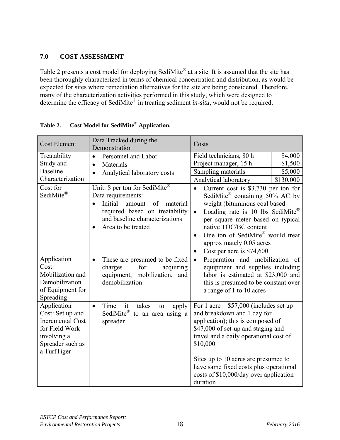# **7.0 COST ASSESSMENT**

Table 2 presents a cost model for deploying SediMite<sup>®</sup> at a site. It is assumed that the site has been thoroughly characterized in terms of chemical concentration and distribution, as would be expected for sites where remediation alternatives for the site are being considered. Therefore, many of the characterization activities performed in this study, which were designed to determine the efficacy of SediMite® in treating sediment *in-situ*, would not be required.

| <b>Cost Element</b>                                                                                                            | Data Tracked during the<br>Demonstration                                                                                                                                                                                                                                                        | Costs                                                                                                                                                                                                                                                                                                                                                                                                                                                                        |
|--------------------------------------------------------------------------------------------------------------------------------|-------------------------------------------------------------------------------------------------------------------------------------------------------------------------------------------------------------------------------------------------------------------------------------------------|------------------------------------------------------------------------------------------------------------------------------------------------------------------------------------------------------------------------------------------------------------------------------------------------------------------------------------------------------------------------------------------------------------------------------------------------------------------------------|
| Treatability<br>Study and<br><b>Baseline</b><br>Characterization<br>Cost for<br>SediMite®                                      | Personnel and Labor<br>$\bullet$<br>Materials<br>$\bullet$<br>Analytical laboratory costs<br>Unit: \$ per ton for SediMite®<br>Data requirements:<br>Initial<br>amount<br>of<br>material<br>$\bullet$<br>required based on treatability<br>and baseline characterizations<br>Area to be treated | Field technicians, 80 h<br>\$4,000<br>Project manager, 15 h<br>\$1,500<br>Sampling materials<br>\$5,000<br>Analytical laboratory<br>\$130,000<br>Current cost is \$3,730 per ton for<br>$\bullet$<br>SediMite <sup>®</sup> containing 50% AC by<br>weight (bituminous coal based<br>Loading rate is 10 lbs SediMite®<br>$\bullet$<br>per square meter based on typical<br>native TOC/BC content<br>One ton of SediMite® would treat<br>$\bullet$<br>approximately 0.05 acres |
| Application<br>Cost:<br>Mobilization and<br>Demobilization<br>of Equipment for<br>Spreading                                    | These are presumed to be fixed<br>$\bullet$<br>charges<br>for<br>acquiring<br>equipment, mobilization, and<br>demobilization                                                                                                                                                                    | Cost per acre is \$74,600<br>$\bullet$<br>Preparation and mobilization of<br>$\bullet$<br>equipment and supplies including<br>labor is estimated at \$23,000 and<br>this is presumed to be constant over<br>a range of 1 to 10 acres                                                                                                                                                                                                                                         |
| Application<br>Cost: Set up and<br><b>Incremental Cost</b><br>for Field Work<br>involving a<br>Spreader such as<br>a TurfTiger | Time<br>it<br>takes<br>$\bullet$<br>apply<br>to<br>SediMite®<br>to an area using a<br>spreader                                                                                                                                                                                                  | For 1 acre = $$57,000$ (includes set up<br>and breakdown and 1 day for<br>application); this is composed of<br>\$47,000 of set-up and staging and<br>travel and a daily operational cost of<br>\$10,000<br>Sites up to 10 acres are presumed to<br>have same fixed costs plus operational<br>costs of \$10,000/day over application<br>duration                                                                                                                              |

**Table 2. Cost Model for SediMite® Application.**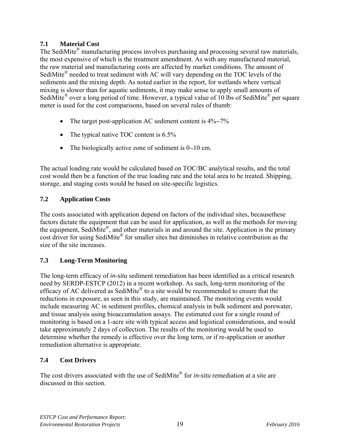# **7.1 Material Cost**

The SediMite<sup>®</sup> manufacturing process involves purchasing and processing several raw materials, the most expensive of which is the treatment amendment. As with any manufactured material, the raw material and manufacturing costs are affected by market conditions. The amount of SediMite<sup>®</sup> needed to treat sediment with AC will vary depending on the TOC levels of the sediments and the mixing depth. As noted earlier in the report, for wetlands where vertical mixing is slower than for aquatic sediments, it may make sense to apply small amounts of SediMite<sup>®</sup> over a long period of time. However, a typical value of 10 lbs of SediMite<sup>®</sup> per square meter is used for the cost comparisons, based on several rules of thumb:

- The target post-application AC sediment content is 4%−7%
- The typical native TOC content is 6.5%
- The biologically active zone of sediment is 0−10 cm.

The actual loading rate would be calculated based on TOC/BC analytical results, and the total cost would then be a function of the true loading rate and the total area to be treated. Shipping, storage, and staging costs would be based on site-specific logistics.

# **7.2 Application Costs**

The costs associated with application depend on factors of the individual sites, becausethese factors dictate the equipment that can be used for application, as well as the methods for moving the equipment, SediMite®, and other materials in and around the site. Application is the primary cost driver for using SediMite® for smaller sites but diminishes in relative contribution as the size of the site increases.

# **7.3 Long-Term Monitoring**

The long-term efficacy of *in-situ* sediment remediation has been identified as a critical research need by SERDP-ESTCP (2012) in a recent workshop. As such, long-term monitoring of the efficacy of AC delivered as SediMite® to a site would be recommended to ensure that the reductions in exposure, as seen in this study, are maintained. The monitoring events would include measuring AC in sediment profiles, chemical analysis in bulk sediment and porewater, and tissue analysis using bioaccumulation assays. The estimated cost for a single round of monitoring is based on a 1-acre site with typical access and logistical considerations, and would take approximately 2 days of collection. The results of the monitoring would be used to determine whether the remedy is effective over the long term, or if re-application or another remediation alternative is appropriate.

# **7.4 Cost Drivers**

The cost drivers associated with the use of SediMite® for *in-situ* remediation at a site are discussed in this section.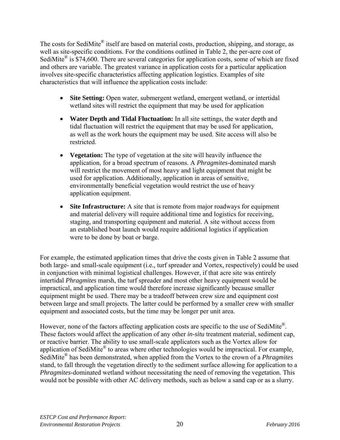The costs for SediMite<sup>®</sup> itself are based on material costs, production, shipping, and storage, as well as site-specific conditions. For the conditions outlined in Table 2, the per-acre cost of SediMite<sup>®</sup> is \$74,600. There are several categories for application costs, some of which are fixed and others are variable. The greatest variance in application costs for a particular application involves site-specific characteristics affecting application logistics. Examples of site characteristics that will influence the application costs include:

- **Site Setting:** Open water, submergent wetland, emergent wetland, or intertidal wetland sites will restrict the equipment that may be used for application
- **Water Depth and Tidal Fluctuation:** In all site settings, the water depth and tidal fluctuation will restrict the equipment that may be used for application, as well as the work hours the equipment may be used. Site access will also be restricted.
- **Vegetation:** The type of vegetation at the site will heavily influence the application, for a broad spectrum of reasons. A *Phragmites*-dominated marsh will restrict the movement of most heavy and light equipment that might be used for application. Additionally, application in areas of sensitive, environmentally beneficial vegetation would restrict the use of heavy application equipment.
- **Site Infrastructure:** A site that is remote from major roadways for equipment and material delivery will require additional time and logistics for receiving, staging, and transporting equipment and material. A site without access from an established boat launch would require additional logistics if application were to be done by boat or barge.

For example, the estimated application times that drive the costs given in Table 2 assume that both large- and small-scale equipment (i.e., turf spreader and Vortex, respectively) could be used in conjunction with minimal logistical challenges. However, if that acre site was entirely intertidal *Phragmites* marsh, the turf spreader and most other heavy equipment would be impractical, and application time would therefore increase significantly because smaller equipment might be used. There may be a tradeoff between crew size and equipment cost between large and small projects. The latter could be performed by a smaller crew with smaller equipment and associated costs, but the time may be longer per unit area.

However, none of the factors affecting application costs are specific to the use of SediMite<sup>®</sup>. These factors would affect the application of any other *in-situ* treatment material, sediment cap, or reactive barrier. The ability to use small-scale applicators such as the Vortex allow for application of SediMite® to areas where other technologies would be impractical. For example, SediMite® has been demonstrated, when applied from the Vortex to the crown of a *Phragmites* stand, to fall through the vegetation directly to the sediment surface allowing for application to a *Phragmites*-dominated wetland without necessitating the need of removing the vegetation. This would not be possible with other AC delivery methods, such as below a sand cap or as a slurry.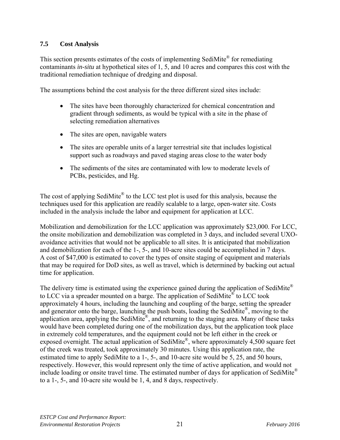#### **7.5 Cost Analysis**

This section presents estimates of the costs of implementing SediMite® for remediating contaminants *in-situ* at hypothetical sites of 1, 5, and 10 acres and compares this cost with the traditional remediation technique of dredging and disposal.

The assumptions behind the cost analysis for the three different sized sites include:

- The sites have been thoroughly characterized for chemical concentration and gradient through sediments, as would be typical with a site in the phase of selecting remediation alternatives
- The sites are open, navigable waters
- The sites are operable units of a larger terrestrial site that includes logistical support such as roadways and paved staging areas close to the water body
- The sediments of the sites are contaminated with low to moderate levels of PCBs, pesticides, and Hg.

The cost of applying SediMite<sup>®</sup> to the LCC test plot is used for this analysis, because the techniques used for this application are readily scalable to a large, open-water site. Costs included in the analysis include the labor and equipment for application at LCC.

Mobilization and demobilization for the LCC application was approximately \$23,000. For LCC, the onsite mobilization and demobilization was completed in 3 days, and included several UXOavoidance activities that would not be applicable to all sites. It is anticipated that mobilization and demobilization for each of the 1-, 5-, and 10-acre sites could be accomplished in 7 days. A cost of \$47,000 is estimated to cover the types of onsite staging of equipment and materials that may be required for DoD sites, as well as travel, which is determined by backing out actual time for application.

The delivery time is estimated using the experience gained during the application of SediMite<sup>®</sup> to LCC via a spreader mounted on a barge. The application of SediMite® to LCC took approximately 4 hours, including the launching and coupling of the barge, setting the spreader and generator onto the barge, launching the push boats, loading the SediMite®, moving to the application area, applying the SediMite®, and returning to the staging area. Many of these tasks would have been completed during one of the mobilization days, but the application took place in extremely cold temperatures, and the equipment could not be left either in the creek or exposed overnight. The actual application of SediMite®, where approximately 4,500 square feet of the creek was treated, took approximately 30 minutes. Using this application rate, the estimated time to apply SediMite to a 1-, 5-, and 10-acre site would be 5, 25, and 50 hours, respectively. However, this would represent only the time of active application, and would not include loading or onsite travel time. The estimated number of days for application of SediMite® to a 1-, 5-, and 10-acre site would be 1, 4, and 8 days, respectively.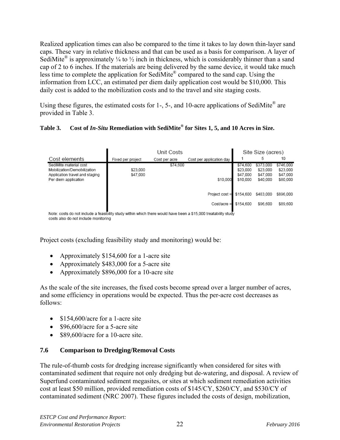Realized application times can also be compared to the time it takes to lay down thin-layer sand caps. These vary in relative thickness and that can be used as a basis for comparison. A layer of SediMite<sup>®</sup> is approximately  $\frac{1}{4}$  to  $\frac{1}{2}$  inch in thickness, which is considerably thinner than a sand cap of 2 to 6 inches. If the materials are being delivered by the same device, it would take much less time to complete the application for SediMite® compared to the sand cap. Using the information from LCC, an estimated per diem daily application cost would be \$10,000. This daily cost is added to the mobilization costs and to the travel and site staging costs.

Using these figures, the estimated costs for 1-, 5-, and 10-acre applications of SediMite<sup>®</sup> are provided in Table 3.

#### **Table 3. Cost of** *In-Situ* **Remediation with SediMite® for Sites 1, 5, and 10 Acres in Size.**

|                                                               | Unit Costs           |               |                          | Site Size (acres)    |                      |                      |
|---------------------------------------------------------------|----------------------|---------------|--------------------------|----------------------|----------------------|----------------------|
| Cost elements                                                 | Fixed per project    | Cost per acre | Cost per application day |                      | 5                    | 10                   |
| SediMite material cost                                        |                      | \$74,600      |                          | \$74,600             | \$373,000            | \$746,000            |
| Mobilization/Demobilization<br>Application travel and staging | \$23,000<br>\$47,000 |               |                          | \$23,000<br>\$47,000 | \$23,000<br>\$47,000 | \$23,000<br>\$47,000 |
| Per diem application                                          |                      |               | \$10,000                 | \$10,000             | \$40,000             | \$80,000             |
|                                                               |                      |               |                          |                      |                      |                      |
|                                                               |                      |               | Project cost =           | \$154.600            | \$483,000            | \$896.000            |
|                                                               |                      |               | $Cost/acre =$            | \$154,600            | \$96,600             | \$89,600             |
|                                                               |                      |               |                          |                      |                      |                      |

Note: costs do not include a feasibility study within which there would have been a \$15,000 treatability study costs also do not include monitoring

Project costs (excluding feasibility study and monitoring) would be:

- Approximately \$154,600 for a 1-acre site
- Approximately \$483,000 for a 5-acre site
- Approximately \$896,000 for a 10-acre site

As the scale of the site increases, the fixed costs become spread over a larger number of acres, and some efficiency in operations would be expected. Thus the per-acre cost decreases as follows:

- \$154,600/acre for a 1-acre site
- \$96,600/acre for a 5-acre site
- \$89,600/acre for a 10-acre site.

#### **7.6 Comparison to Dredging/Removal Costs**

The rule-of-thumb costs for dredging increase significantly when considered for sites with contaminated sediment that require not only dredging but de-watering, and disposal. A review of Superfund contaminated sediment megasites, or sites at which sediment remediation activities cost at least \$50 million, provided remediation costs of \$145/CY, \$260/CY, and \$530/CY of contaminated sediment (NRC 2007). These figures included the costs of design, mobilization,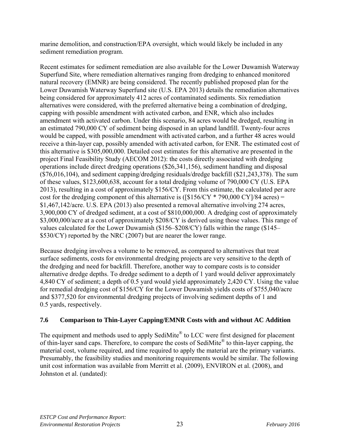marine demolition, and construction/EPA oversight, which would likely be included in any sediment remediation program.

Recent estimates for sediment remediation are also available for the Lower Duwamish Waterway Superfund Site, where remediation alternatives ranging from dredging to enhanced monitored natural recovery (EMNR) are being considered. The recently published proposed plan for the Lower Duwamish Waterway Superfund site (U.S. EPA 2013) details the remediation alternatives being considered for approximately 412 acres of contaminated sediments. Six remediation alternatives were considered, with the preferred alternative being a combination of dredging, capping with possible amendment with activated carbon, and ENR, which also includes amendment with activated carbon. Under this scenario, 84 acres would be dredged, resulting in an estimated 790,000 CY of sediment being disposed in an upland landfill. Twenty-four acres would be capped, with possible amendment with activated carbon, and a further 48 acres would receive a thin-layer cap, possibly amended with activated carbon, for ENR. The estimated cost of this alternative is \$305,000,000. Detailed cost estimates for this alternative are presented in the project Final Feasibility Study (AECOM 2012): the costs directly associated with dredging operations include direct dredging operations (\$26,341,156), sediment handling and disposal (\$76,016,104), and sediment capping/dredging residuals/dredge backfill (\$21,243,378). The sum of these values, \$123,600,638, account for a total dredging volume of 790,000 CY (U.S. EPA 2013), resulting in a cost of approximately \$156/CY. From this estimate, the calculated per acre cost for the dredging component of this alternative is ( $\frac{1}{3}$ 156/CY \* 790,000 CY $\frac{1}{8}$  acres) = \$1,467,142/acre. U.S. EPA (2013) also presented a removal alternative involving 274 acres, 3,900,000 CY of dredged sediment, at a cost of \$810,000,000. A dredging cost of approximately \$3,000,000/acre at a cost of approximately \$208/CY is derived using those values. This range of values calculated for the Lower Duwamish (\$156–\$208/CY) falls within the range (\$145– \$530/CY) reported by the NRC (2007) but are nearer the lower range.

Because dredging involves a volume to be removed, as compared to alternatives that treat surface sediments, costs for environmental dredging projects are very sensitive to the depth of the dredging and need for backfill. Therefore, another way to compare costs is to consider alternative dredge depths. To dredge sediment to a depth of 1 yard would deliver approximately 4,840 CY of sediment; a depth of 0.5 yard would yield approximately 2,420 CY. Using the value for remedial dredging cost of \$156/CY for the Lower Duwamish yields costs of \$755,040/acre and \$377,520 for environmental dredging projects of involving sediment depths of 1 and 0.5 yards, respectively.

#### **7.6 Comparison to Thin-Layer Capping/EMNR Costs with and without AC Addition**

The equipment and methods used to apply SediMite<sup>®</sup> to LCC were first designed for placement of thin-layer sand caps. Therefore, to compare the costs of SediMite® to thin-layer capping, the material cost, volume required, and time required to apply the material are the primary variants. Presumably, the feasibility studies and monitoring requirements would be similar. The following unit cost information was available from Merritt et al. (2009), ENVIRON et al. (2008), and Johnston et al. (undated):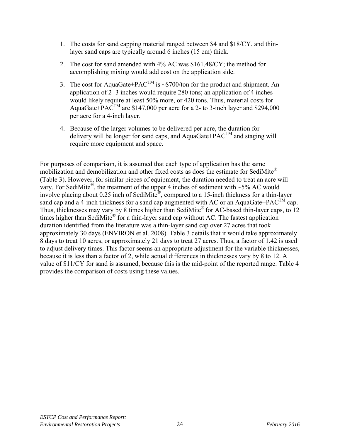- 1. The costs for sand capping material ranged between \$4 and \$18/CY, and thinlayer sand caps are typically around 6 inches (15 cm) thick.
- 2. The cost for sand amended with 4% AC was \$161.48/CY; the method for accomplishing mixing would add cost on the application side.
- 3. The cost for AquaGate+PAC<sup>TM</sup> is ~\$700/ton for the product and shipment. An application of 2−3 inches would require 280 tons; an application of 4 inches would likely require at least 50% more, or 420 tons. Thus, material costs for AquaGate+ $PAC^{TM}$  are \$147,000 per acre for a 2- to 3-inch layer and \$294,000 per acre for a 4-inch layer.
- 4. Because of the larger volumes to be delivered per acre, the duration for delivery will be longer for sand caps, and AquaGate+ $\angle$ PAC<sup>TM</sup> and staging will require more equipment and space.

For purposes of comparison, it is assumed that each type of application has the same mobilization and demobilization and other fixed costs as does the estimate for SediMite® (Table 3). However, for similar pieces of equipment, the duration needed to treat an acre will vary. For SediMite®, the treatment of the upper 4 inches of sediment with ~5% AC would involve placing about 0.25 inch of SediMite®, compared to a 15-inch thickness for a thin-layer sand cap and a 4-inch thickness for a sand cap augmented with AC or an AquaGate+PAC<sup>TM</sup> cap. Thus, thicknesses may vary by 8 times higher than SediMite® for AC-based thin-layer caps, to 12 times higher than SediMite<sup>®</sup> for a thin-layer sand cap without AC. The fastest application duration identified from the literature was a thin-layer sand cap over 27 acres that took approximately 30 days (ENVIRON et al. 2008). Table 3 details that it would take approximately 8 days to treat 10 acres, or approximately 21 days to treat 27 acres. Thus, a factor of 1.42 is used to adjust delivery times. This factor seems an appropriate adjustment for the variable thicknesses, because it is less than a factor of 2, while actual differences in thicknesses vary by 8 to 12. A value of \$11/CY for sand is assumed, because this is the mid-point of the reported range. Table 4 provides the comparison of costs using these values.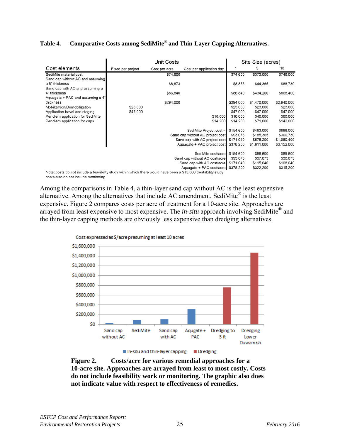#### **Table 4. Comparative Costs among SediMite® and Thin-Layer Capping Alternatives.**

|                                                                                                                 | Unit Costs                    |               | Site Size (acres)                |           |             |                       |
|-----------------------------------------------------------------------------------------------------------------|-------------------------------|---------------|----------------------------------|-----------|-------------|-----------------------|
| Cost elements                                                                                                   | Fixed per project             | Cost per acre | Cost per application day         |           | 5           | 10                    |
| SediMite material cost                                                                                          |                               | \$74,600      |                                  | \$74,600  | \$373,000   | \$746,000             |
| Sand cap without AC and assuming                                                                                |                               |               |                                  |           |             |                       |
| a 6" thickness                                                                                                  |                               | \$8,873       |                                  | \$8,873   | \$44,365    | \$88,730              |
| Sand cap with AC and assuming a                                                                                 |                               |               |                                  |           |             |                       |
| 4" thickness                                                                                                    |                               | \$86,840      |                                  | \$86,840  | \$434,200   | \$868,400             |
| Aquagate + PAC and assuming a 4"                                                                                |                               |               |                                  |           |             |                       |
| thickness                                                                                                       |                               | \$294,000     |                                  | \$294.000 | \$1,470,000 | \$2,940,000           |
| Mobilization/Demobilization                                                                                     | \$23,000                      |               |                                  | \$23,000  | \$23,000    | \$23,000              |
| Application travel and staging                                                                                  | \$47,000                      |               |                                  | \$47,000  | \$47,000    | \$47,000              |
| Per diem application for SediMite                                                                               |                               |               | \$10,000                         | \$10,000  | \$40,000    | \$80,000              |
| Per diem application for caps                                                                                   |                               |               | \$14,200                         | \$14,200  | \$71,000    | \$142,000             |
|                                                                                                                 |                               |               | SediMite Project cost =          | \$154,600 | \$483,000   | \$896,000             |
|                                                                                                                 |                               |               | Sand cap without AC project cost | \$93,073  | \$185,365   | \$300,730             |
|                                                                                                                 |                               |               | Sand cap with AC project cost    | \$171,040 | \$575,200   | \$1,080,400           |
|                                                                                                                 |                               |               | Aquagate + PAC project cost      | \$378,200 | \$1,611,000 | \$3,152,000           |
|                                                                                                                 |                               |               | SediMite cost/acre               | \$154,600 | \$96,600    | \$89,600              |
|                                                                                                                 |                               |               | \$93,073                         | \$37,073  |             |                       |
|                                                                                                                 | Sand cap without AC cost/acre |               |                                  |           |             | \$30,073<br>\$108,040 |
| Sand cap with AC cost/acre                                                                                      |                               |               |                                  | \$171,040 | \$115,040   |                       |
| Note: costs do not include a feasibility study within which there would have been a \$15,000 treatability study |                               |               | Aquagate + PAC cost/acre         | \$378,200 | \$322,200   | \$315,200             |

costs also do not include monitoring

Among the comparisons in Table 4, a thin-layer sand cap without AC is the least expensive alternative. Among the alternatives that include AC amendment, SediMite® is the least expensive. Figure 2 compares costs per acre of treatment for a 10-acre site. Approaches are arrayed from least expensive to most expensive. The *in-situ* approach involving SediMite® and the thin-layer capping methods are obviously less expensive than dredging alternatives.



**Figure 2. Costs/acre for various remedial approaches for a 10-acre site. Approaches are arrayed from least to most costly. Costs do not include feasibility work or monitoring. The graphic also does not indicate value with respect to effectiveness of remedies.**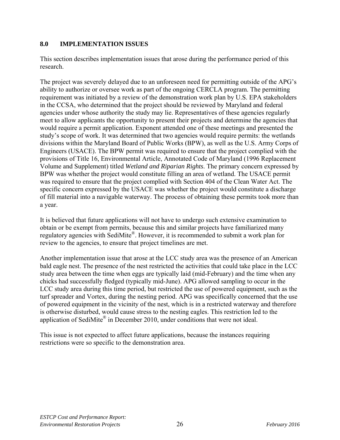#### **8.0 IMPLEMENTATION ISSUES**

This section describes implementation issues that arose during the performance period of this research.

The project was severely delayed due to an unforeseen need for permitting outside of the APG's ability to authorize or oversee work as part of the ongoing CERCLA program. The permitting requirement was initiated by a review of the demonstration work plan by U.S. EPA stakeholders in the CCSA, who determined that the project should be reviewed by Maryland and federal agencies under whose authority the study may lie. Representatives of these agencies regularly meet to allow applicants the opportunity to present their projects and determine the agencies that would require a permit application. Exponent attended one of these meetings and presented the study's scope of work. It was determined that two agencies would require permits: the wetlands divisions within the Maryland Board of Public Works (BPW), as well as the U.S. Army Corps of Engineers (USACE). The BPW permit was required to ensure that the project complied with the provisions of Title 16, Environmental Article, Annotated Code of Maryland (1996 Replacement Volume and Supplement) titled *Wetland and Riparian Rights*. The primary concern expressed by BPW was whether the project would constitute filling an area of wetland. The USACE permit was required to ensure that the project complied with Section 404 of the Clean Water Act. The specific concern expressed by the USACE was whether the project would constitute a discharge of fill material into a navigable waterway. The process of obtaining these permits took more than a year.

It is believed that future applications will not have to undergo such extensive examination to obtain or be exempt from permits, because this and similar projects have familiarized many regulatory agencies with SediMite®. However, it is recommended to submit a work plan for review to the agencies, to ensure that project timelines are met.

Another implementation issue that arose at the LCC study area was the presence of an American bald eagle nest. The presence of the nest restricted the activities that could take place in the LCC study area between the time when eggs are typically laid (mid-February) and the time when any chicks had successfully fledged (typically mid-June). APG allowed sampling to occur in the LCC study area during this time period, but restricted the use of powered equipment, such as the turf spreader and Vortex, during the nesting period. APG was specifically concerned that the use of powered equipment in the vicinity of the nest, which is in a restricted waterway and therefore is otherwise disturbed, would cause stress to the nesting eagles. This restriction led to the application of SediMite<sup>®</sup> in December 2010, under conditions that were not ideal.

This issue is not expected to affect future applications, because the instances requiring restrictions were so specific to the demonstration area.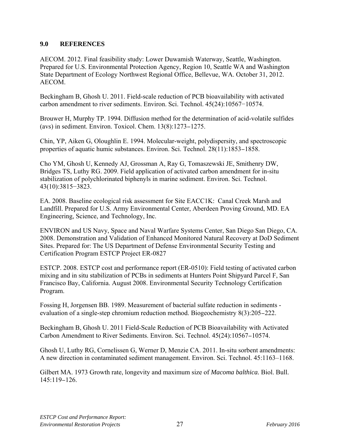#### **9.0 REFERENCES**

AECOM. 2012. Final feasibility study: Lower Duwamish Waterway, Seattle, Washington. Prepared for U.S. Environmental Protection Agency, Region 10, Seattle WA and Washington State Department of Ecology Northwest Regional Office, Bellevue, WA. October 31, 2012. AECOM.

Beckingham B, Ghosh U. 2011. Field-scale reduction of PCB bioavailability with activated carbon amendment to river sediments. Environ. Sci. Technol. 45(24):10567−10574.

Brouwer H, Murphy TP. 1994. Diffusion method for the determination of acid-volatile sulfides (avs) in sediment. Environ. Toxicol. Chem. 13(8):1273−1275.

Chin, YP, Aiken G, Oloughlin E. 1994. Molecular-weight, polydispersity, and spectroscopic properties of aquatic humic substances. Environ. Sci. Technol. 28(11):1853−1858.

Cho YM, Ghosh U, Kennedy AJ, Grossman A, Ray G, Tomaszewski JE, Smithenry DW, Bridges TS, Luthy RG. 2009. Field application of activated carbon amendment for in-situ stabilization of polychlorinated biphenyls in marine sediment. Environ. Sci. Technol. 43(10):3815−3823.

EA. 2008. Baseline ecological risk assessment for Site EACC1K: Canal Creek Marsh and Landfill. Prepared for U.S. Army Environmental Center, Aberdeen Proving Ground, MD. EA Engineering, Science, and Technology, Inc.

ENVIRON and US Navy, Space and Naval Warfare Systems Center, San Diego San Diego, CA. 2008. Demonstration and Validation of Enhanced Monitored Natural Recovery at DoD Sediment Sites. Prepared for: The US Department of Defense Environmental Security Testing and Certification Program ESTCP Project ER-0827

ESTCP. 2008. ESTCP cost and performance report (ER-0510): Field testing of activated carbon mixing and in situ stabilization of PCBs in sediments at Hunters Point Shipyard Parcel F, San Francisco Bay, California. August 2008. Environmental Security Technology Certification Program.

Fossing H, Jorgensen BB. 1989. Measurement of bacterial sulfate reduction in sediments evaluation of a single-step chromium reduction method. Biogeochemistry 8(3):205−222.

Beckingham B, Ghosh U. 2011 Field-Scale Reduction of PCB Bioavailability with Activated Carbon Amendment to River Sediments. Environ. Sci. Technol. 45(24):10567−10574.

Ghosh U, Luthy RG, Cornelissen G, Werner D, Menzie CA. 2011. In-situ sorbent amendments: A new direction in contaminated sediment management. Environ. Sci. Technol. 45:1163–1168.

Gilbert MA. 1973 Growth rate, longevity and maximum size of *Macoma balthica.* Biol. Bull. 145:119−126.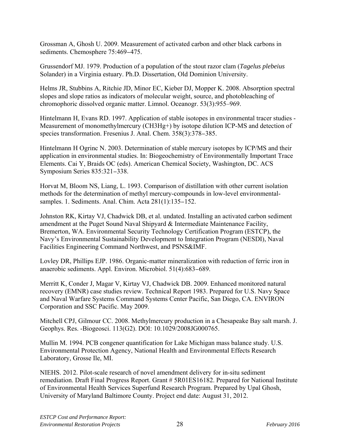Grossman A, Ghosh U. 2009. Measurement of activated carbon and other black carbons in sediments. Chemosphere 75:469−475.

Grussendorf MJ. 1979. Production of a population of the stout razor clam (*Tagelus plebeius*  Solander) in a Virginia estuary. Ph.D. Dissertation, Old Dominion University.

Helms JR, Stubbins A, Ritchie JD, Minor EC, Kieber DJ, Mopper K. 2008. Absorption spectral slopes and slope ratios as indicators of molecular weight, source, and photobleaching of chromophoric dissolved organic matter. Limnol. Oceanogr. 53(3):955–969.

Hintelmann H, Evans RD. 1997. Application of stable isotopes in environmental tracer studies - Measurement of monomethylmercury (CH3Hg+) by isotope dilution ICP-MS and detection of species transformation. Fresenius J. Anal. Chem. 358(3):378−385.

Hintelmann H Ogrinc N. 2003. Determination of stable mercury isotopes by ICP/MS and their application in environmental studies. In: Biogeochemistry of Environmentally Important Trace Elements. Cai Y, Braids OC (eds). American Chemical Society, Washington, DC. ACS Symposium Series 835:321−338.

Horvat M, Bloom NS, Liang, L. 1993. Comparison of distillation with other current isolation methods for the determination of methyl mercury-compounds in low-level environmentalsamples. 1. Sediments. Anal. Chim. Acta 281(1):135−152.

Johnston RK, Kirtay VJ, Chadwick DB, et al. undated. Installing an activated carbon sediment amendment at the Puget Sound Naval Shipyard & Intermediate Maintenance Facility, Bremerton, WA. Environmental Security Technology Certification Program (ESTCP), the Navy's Environmental Sustainability Development to Integration Program (NESDI), Naval Facilities Engineering Command Northwest, and PSNS&IMF.

Lovley DR, Phillips EJP. 1986. Organic-matter mineralization with reduction of ferric iron in anaerobic sediments. Appl. Environ. Microbiol. 51(4):683−689.

Merritt K, Conder J, Magar V, Kirtay VJ, Chadwick DB. 2009. Enhanced monitored natural recovery (EMNR) case studies review. Technical Report 1983. Prepared for U.S. Navy Space and Naval Warfare Systems Command Systems Center Pacific, San Diego, CA. ENVIRON Corporation and SSC Pacific. May 2009.

Mitchell CPJ, Gilmour CC. 2008. Methylmercury production in a Chesapeake Bay salt marsh. J. Geophys. Res. -Biogeosci. 113(G2). DOI: 10.1029/2008JG000765.

Mullin M. 1994. PCB congener quantification for Lake Michigan mass balance study. U.S. Environmental Protection Agency, National Health and Environmental Effects Research Laboratory, Grosse Ile, MI.

NIEHS. 2012. Pilot-scale research of novel amendment delivery for in-situ sediment remediation. Draft Final Progress Report. Grant # 5R01ES16182. Prepared for National Institute of Environmental Health Services Superfund Research Program. Prepared by Upal Ghosh, University of Maryland Baltimore County. Project end date: August 31, 2012.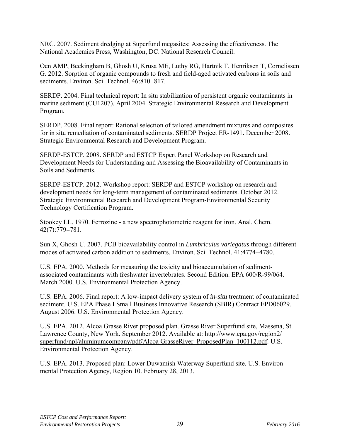NRC. 2007. Sediment dredging at Superfund megasites: Assessing the effectiveness. The National Academies Press, Washington, DC. National Research Council.

Oen AMP, Beckingham B, Ghosh U, Krusa ME, Luthy RG, Hartnik T, Henriksen T, Cornelissen G. 2012. Sorption of organic compounds to fresh and field-aged activated carbons in soils and sediments. Environ. Sci. Technol. 46:810−817.

SERDP. 2004. Final technical report: In situ stabilization of persistent organic contaminants in marine sediment (CU1207). April 2004. Strategic Environmental Research and Development Program.

SERDP. 2008. Final report: Rational selection of tailored amendment mixtures and composites for in situ remediation of contaminated sediments. SERDP Project ER-1491. December 2008. Strategic Environmental Research and Development Program.

SERDP-ESTCP. 2008. SERDP and ESTCP Expert Panel Workshop on Research and Development Needs for Understanding and Assessing the Bioavailability of Contaminants in Soils and Sediments.

SERDP-ESTCP. 2012. Workshop report: SERDP and ESTCP workshop on research and development needs for long-term management of contaminated sediments. October 2012. Strategic Environmental Research and Development Program-Environmental Security Technology Certification Program.

Stookey LL. 1970. Ferrozine - a new spectrophotometric reagent for iron. Anal. Chem. 42(7):779−781.

Sun X, Ghosh U. 2007. PCB bioavailability control in *Lumbriculus variegatus* through different modes of activated carbon addition to sediments. Environ. Sci. Technol. 41:4774−4780.

U.S. EPA. 2000. Methods for measuring the toxicity and bioaccumulation of sedimentassociated contaminants with freshwater invertebrates. Second Edition. EPA 600/R-99/064. March 2000. U.S. Environmental Protection Agency.

U.S. EPA. 2006. Final report: A low-impact delivery system of *in-situ* treatment of contaminated sediment. U.S. EPA Phase I Small Business Innovative Research (SBIR) Contract EPD06029. August 2006. U.S. Environmental Protection Agency.

U.S. EPA. 2012. Alcoa Grasse River proposed plan. Grasse River Superfund site, Massena, St. Lawrence County, New York. September 2012. Available at: http://www.epa.gov/region2/ superfund/npl/aluminumcompany/pdf/Alcoa GrasseRiver\_ProposedPlan\_100112.pdf. U.S. Environmental Protection Agency.

U.S. EPA. 2013. Proposed plan: Lower Duwamish Waterway Superfund site. U.S. Environmental Protection Agency, Region 10. February 28, 2013.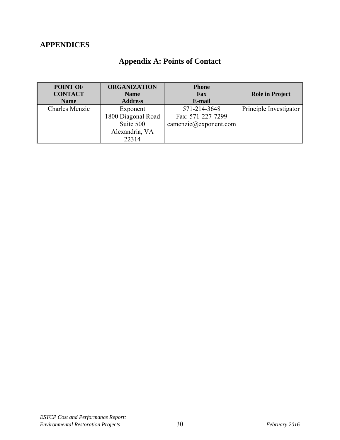# **APPENDICES**

|  |  | <b>Appendix A: Points of Contact</b> |
|--|--|--------------------------------------|
|--|--|--------------------------------------|

| <b>POINT OF</b><br><b>CONTACT</b> | <b>ORGANIZATION</b><br><b>Name</b> | <b>Phone</b><br>Fax               | <b>Role in Project</b> |
|-----------------------------------|------------------------------------|-----------------------------------|------------------------|
| <b>Name</b>                       | <b>Address</b>                     | E-mail                            |                        |
| <b>Charles Menzie</b>             | Exponent                           | 571-214-3648                      | Principle Investigator |
|                                   | 1800 Diagonal Road                 | Fax: 571-227-7299                 |                        |
|                                   | Suite 500                          | $\text{camenzie}(a)$ exponent.com |                        |
|                                   | Alexandria, VA                     |                                   |                        |
|                                   | 22314                              |                                   |                        |